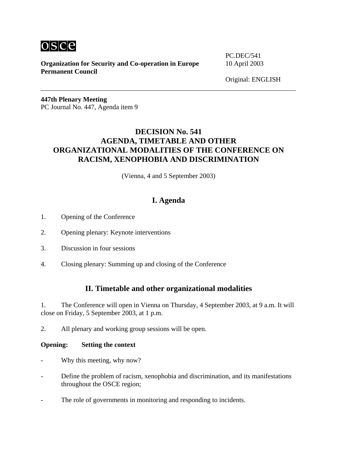

**Organization for Security and Co-operation in Europe** 10 April 2003 **Permanent Council** 

PC.DEC/541

Original: ENGLISH

**447th Plenary Meeting**  PC Journal No. 447, Agenda item 9

# **DECISION No. 541 AGENDA, TIMETABLE AND OTHER ORGANIZATIONAL MODALITIES OF THE CONFERENCE ON RACISM, XENOPHOBIA AND DISCRIMINATION**

(Vienna, 4 and 5 September 2003)

# **I. Agenda**

- 1. Opening of the Conference
- 2. Opening plenary: Keynote interventions
- 3. Discussion in four sessions
- 4. Closing plenary: Summing up and closing of the Conference

## **II. Timetable and other organizational modalities**

1. The Conference will open in Vienna on Thursday, 4 September 2003, at 9 a.m. It will close on Friday, 5 September 2003, at 1 p.m.

2. All plenary and working group sessions will be open.

#### **Opening: Setting the context**

- Why this meeting, why now?
- Define the problem of racism, xenophobia and discrimination, and its manifestations throughout the OSCE region;
- The role of governments in monitoring and responding to incidents.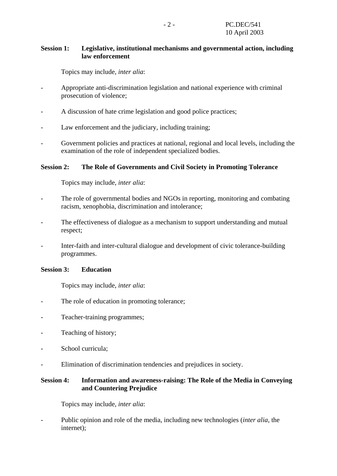### **Session 1: Legislative, institutional mechanisms and governmental action, including law enforcement**

Topics may include, *inter alia*:

- Appropriate anti-discrimination legislation and national experience with criminal prosecution of violence;
- A discussion of hate crime legislation and good police practices;
- Law enforcement and the judiciary, including training;
- Government policies and practices at national, regional and local levels, including the examination of the role of independent specialized bodies.

### **Session 2: The Role of Governments and Civil Society in Promoting Tolerance**

Topics may include, *inter alia*:

- The role of governmental bodies and NGOs in reporting, monitoring and combating racism, xenophobia, discrimination and intolerance;
- The effectiveness of dialogue as a mechanism to support understanding and mutual respect;
- Inter-faith and inter-cultural dialogue and development of civic tolerance-building programmes.

#### **Session 3: Education**

Topics may include, *inter alia*:

- The role of education in promoting tolerance;
- Teacher-training programmes;
- Teaching of history;
- School curricula;
- Elimination of discrimination tendencies and prejudices in society.

### **Session 4: Information and awareness-raising: The Role of the Media in Conveying and Countering Prejudice**

Topics may include, *inter alia*:

- Public opinion and role of the media, including new technologies (*inter alia*, the internet);